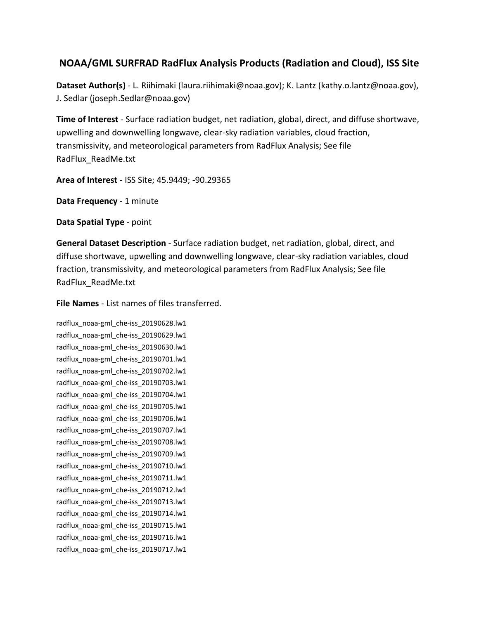## **NOAA/GML SURFRAD RadFlux Analysis Products (Radiation and Cloud), ISS Site**

**Dataset Author(s)** - L. Riihimaki (laura.riihimaki@noaa.gov); K. Lantz (kathy.o.lantz@noaa.gov), J. Sedlar (joseph.Sedlar@noaa.gov)

**Time of Interest** - Surface radiation budget, net radiation, global, direct, and diffuse shortwave, upwelling and downwelling longwave, clear-sky radiation variables, cloud fraction, transmissivity, and meteorological parameters from RadFlux Analysis; See file RadFlux\_ReadMe.txt

**Area of Interest** - ISS Site; 45.9449; -90.29365

**Data Frequency** - 1 minute

**Data Spatial Type** - point

**General Dataset Description** - Surface radiation budget, net radiation, global, direct, and diffuse shortwave, upwelling and downwelling longwave, clear-sky radiation variables, cloud fraction, transmissivity, and meteorological parameters from RadFlux Analysis; See file RadFlux\_ReadMe.txt

**File Names** - List names of files transferred.

radflux\_noaa-gml\_che-iss\_20190628.lw1 radflux\_noaa-gml\_che-iss\_20190629.lw1 radflux\_noaa-gml\_che-iss\_20190630.lw1 radflux\_noaa-gml\_che-iss\_20190701.lw1 radflux\_noaa-gml\_che-iss\_20190702.lw1 radflux\_noaa-gml\_che-iss\_20190703.lw1 radflux\_noaa-gml\_che-iss\_20190704.lw1 radflux\_noaa-gml\_che-iss\_20190705.lw1 radflux\_noaa-gml\_che-iss\_20190706.lw1 radflux\_noaa-gml\_che-iss\_20190707.lw1 radflux\_noaa-gml\_che-iss\_20190708.lw1 radflux\_noaa-gml\_che-iss\_20190709.lw1 radflux\_noaa-gml\_che-iss\_20190710.lw1 radflux\_noaa-gml\_che-iss\_20190711.lw1 radflux\_noaa-gml\_che-iss\_20190712.lw1 radflux\_noaa-gml\_che-iss\_20190713.lw1 radflux\_noaa-gml\_che-iss\_20190714.lw1 radflux\_noaa-gml\_che-iss\_20190715.lw1 radflux\_noaa-gml\_che-iss\_20190716.lw1 radflux\_noaa-gml\_che-iss\_20190717.lw1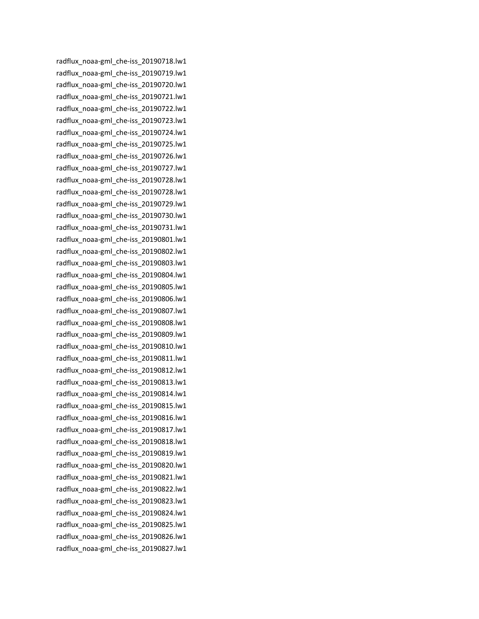radflux\_noaa-gml\_che-iss\_20190718.lw1 radflux\_noaa-gml\_che-iss\_20190719.lw1 radflux\_noaa-gml\_che-iss\_20190720.lw1 radflux\_noaa-gml\_che-iss\_20190721.lw1 radflux\_noaa-gml\_che-iss\_20190722.lw1 radflux\_noaa-gml\_che-iss\_20190723.lw1 radflux\_noaa-gml\_che-iss\_20190724.lw1 radflux\_noaa-gml\_che-iss\_20190725.lw1 radflux\_noaa-gml\_che-iss\_20190726.lw1 radflux\_noaa-gml\_che-iss\_20190727.lw1 radflux\_noaa-gml\_che-iss\_20190728.lw1 radflux\_noaa-gml\_che-iss\_20190728.lw1 radflux\_noaa-gml\_che-iss\_20190729.lw1 radflux\_noaa-gml\_che-iss\_20190730.lw1 radflux\_noaa-gml\_che-iss\_20190731.lw1 radflux\_noaa-gml\_che-iss\_20190801.lw1 radflux\_noaa-gml\_che-iss\_20190802.lw1 radflux\_noaa-gml\_che-iss\_20190803.lw1 radflux\_noaa-gml\_che-iss\_20190804.lw1 radflux\_noaa-gml\_che-iss\_20190805.lw1 radflux\_noaa-gml\_che-iss\_20190806.lw1 radflux\_noaa-gml\_che-iss\_20190807.lw1 radflux\_noaa-gml\_che-iss\_20190808.lw1 radflux\_noaa-gml\_che-iss\_20190809.lw1 radflux\_noaa-gml\_che-iss\_20190810.lw1 radflux\_noaa-gml\_che-iss\_20190811.lw1 radflux\_noaa-gml\_che-iss\_20190812.lw1 radflux\_noaa-gml\_che-iss\_20190813.lw1 radflux\_noaa-gml\_che-iss\_20190814.lw1 radflux\_noaa-gml\_che-iss\_20190815.lw1 radflux\_noaa-gml\_che-iss\_20190816.lw1 radflux\_noaa-gml\_che-iss\_20190817.lw1 radflux\_noaa-gml\_che-iss\_20190818.lw1 radflux\_noaa-gml\_che-iss\_20190819.lw1 radflux\_noaa-gml\_che-iss\_20190820.lw1 radflux\_noaa-gml\_che-iss\_20190821.lw1 radflux\_noaa-gml\_che-iss\_20190822.lw1 radflux\_noaa-gml\_che-iss\_20190823.lw1 radflux\_noaa-gml\_che-iss\_20190824.lw1 radflux\_noaa-gml\_che-iss\_20190825.lw1 radflux\_noaa-gml\_che-iss\_20190826.lw1 radflux\_noaa-gml\_che-iss\_20190827.lw1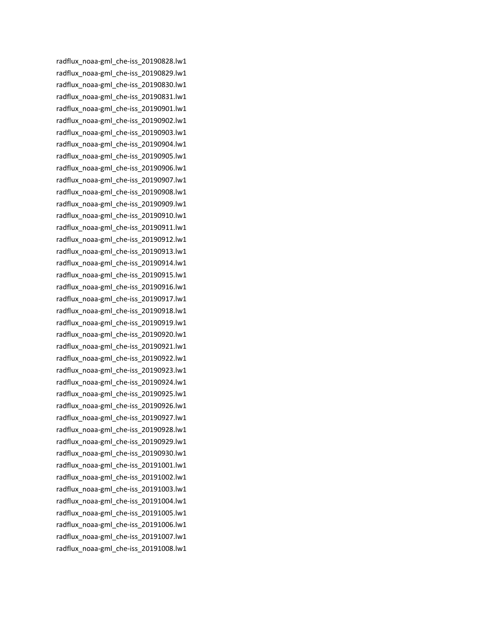radflux\_noaa-gml\_che-iss\_20190828.lw1 radflux\_noaa-gml\_che-iss\_20190829.lw1 radflux\_noaa-gml\_che-iss\_20190830.lw1 radflux\_noaa-gml\_che-iss\_20190831.lw1 radflux\_noaa-gml\_che-iss\_20190901.lw1 radflux\_noaa-gml\_che-iss\_20190902.lw1 radflux\_noaa-gml\_che-iss\_20190903.lw1 radflux\_noaa-gml\_che-iss\_20190904.lw1 radflux\_noaa-gml\_che-iss\_20190905.lw1 radflux\_noaa-gml\_che-iss\_20190906.lw1 radflux\_noaa-gml\_che-iss\_20190907.lw1 radflux\_noaa-gml\_che-iss\_20190908.lw1 radflux\_noaa-gml\_che-iss\_20190909.lw1 radflux\_noaa-gml\_che-iss\_20190910.lw1 radflux\_noaa-gml\_che-iss\_20190911.lw1 radflux\_noaa-gml\_che-iss\_20190912.lw1 radflux\_noaa-gml\_che-iss\_20190913.lw1 radflux\_noaa-gml\_che-iss\_20190914.lw1 radflux\_noaa-gml\_che-iss\_20190915.lw1 radflux\_noaa-gml\_che-iss\_20190916.lw1 radflux\_noaa-gml\_che-iss\_20190917.lw1 radflux\_noaa-gml\_che-iss\_20190918.lw1 radflux\_noaa-gml\_che-iss\_20190919.lw1 radflux\_noaa-gml\_che-iss\_20190920.lw1 radflux\_noaa-gml\_che-iss\_20190921.lw1 radflux\_noaa-gml\_che-iss\_20190922.lw1 radflux\_noaa-gml\_che-iss\_20190923.lw1 radflux\_noaa-gml\_che-iss\_20190924.lw1 radflux\_noaa-gml\_che-iss\_20190925.lw1 radflux\_noaa-gml\_che-iss\_20190926.lw1 radflux\_noaa-gml\_che-iss\_20190927.lw1 radflux\_noaa-gml\_che-iss\_20190928.lw1 radflux\_noaa-gml\_che-iss\_20190929.lw1 radflux\_noaa-gml\_che-iss\_20190930.lw1 radflux\_noaa-gml\_che-iss\_20191001.lw1 radflux\_noaa-gml\_che-iss\_20191002.lw1 radflux\_noaa-gml\_che-iss\_20191003.lw1 radflux\_noaa-gml\_che-iss\_20191004.lw1 radflux\_noaa-gml\_che-iss\_20191005.lw1 radflux\_noaa-gml\_che-iss\_20191006.lw1 radflux\_noaa-gml\_che-iss\_20191007.lw1 radflux\_noaa-gml\_che-iss\_20191008.lw1